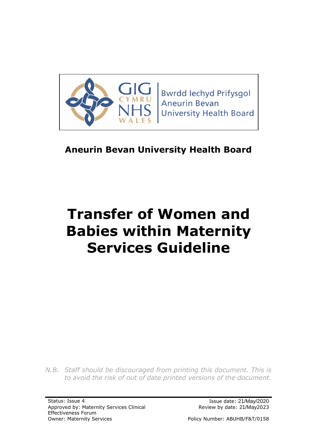

**Bwrdd lechyd Prifysgol Aneurin Bevan University Health Board** 

# **Aneurin Bevan University Health Board**

# **Transfer of Women and Babies within Maternity Services Guideline**

*N.B. Staff should be discouraged from printing this document. This is to avoid the risk of out of date printed versions of the document.* 

Status: Issue 4 Issue date: 21/May/2020 Approved by: Maternity Services Clinical Effectiveness Forum Owner: Maternity Services extending the Muslim Policy Number: ABUHB/F&T/0158

Review by date: 21/May2023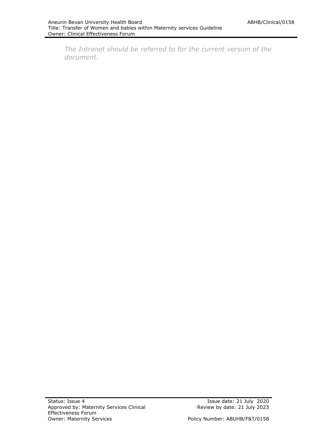*The Intranet should be referred to for the current version of the document.*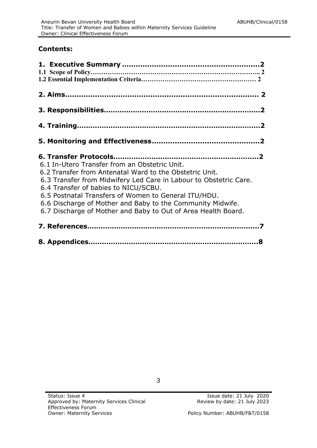#### **Contents:**

| 6.1 In-Utero Transfer from an Obstetric Unit.                                                                                |  |
|------------------------------------------------------------------------------------------------------------------------------|--|
| 6.2 Transfer from Antenatal Ward to the Obstetric Unit.<br>6.3 Transfer from Midwifery Led Care in Labour to Obstetric Care. |  |
| 6.4 Transfer of babies to NICU/SCBU.                                                                                         |  |
| 6.5 Postnatal Transfers of Women to General ITU/HDU.                                                                         |  |
| 6.6 Discharge of Mother and Baby to the Community Midwife.                                                                   |  |
| 6.7 Discharge of Mother and Baby to Out of Area Health Board.                                                                |  |
|                                                                                                                              |  |
|                                                                                                                              |  |
|                                                                                                                              |  |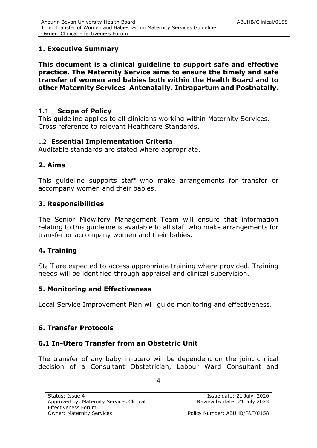#### <span id="page-3-0"></span>**1. Executive Summary**

**This document is a clinical guideline to support safe and effective practice. The Maternity Service aims to ensure the timely and safe transfer of women and babies both within the Health Board and to other Maternity Services Antenatally, Intrapartum and Postnatally.**

#### 1.1 **Scope of Policy**

This guideline applies to all clinicians working within Maternity Services. Cross reference to relevant Healthcare Standards.

#### 1.2 **Essential Implementation Criteria**

Auditable standards are stated where appropriate.

#### **2. Aims**

This guideline supports staff who make arrangements for transfer or accompany women and their babies.

#### **3. Responsibilities**

The Senior Midwifery Management Team will ensure that information relating to this guideline is available to all staff who make arrangements for transfer or accompany women and their babies.

#### **4. Training**

Staff are expected to access appropriate training where provided. Training needs will be identified through appraisal and clinical supervision.

#### <span id="page-3-1"></span>**5. Monitoring and Effectiveness**

Local Service Improvement Plan will guide monitoring and effectiveness.

#### **6. Transfer Protocols**

#### **6.1 In-Utero Transfer from an Obstetric Unit**

The transfer of any baby in-utero will be dependent on the joint clinical decision of a Consultant Obstetrician, Labour Ward Consultant and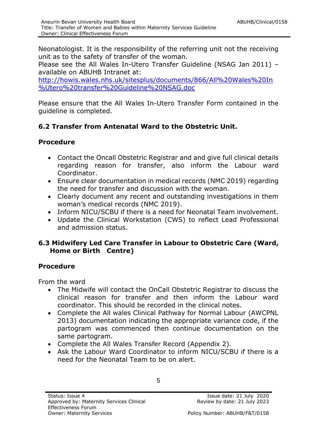Neonatologist. It is the responsibility of the referring unit not the receiving unit as to the safety of transfer of the woman.

Please see the All Wales In-Utero Transfer Guideline (NSAG Jan 2011) – available on ABUHB Intranet at:

[http://howis.wales.nhs.uk/sitesplus/documents/866/All%20Wales%20In](http://howis.wales.nhs.uk/sitesplus/documents/866/All%20Wales%20In%25Utero%20transfer%20Guideline%20NSAG.doc) [%Utero%20transfer%20Guideline%20NSAG.doc](http://howis.wales.nhs.uk/sitesplus/documents/866/All%20Wales%20In%25Utero%20transfer%20Guideline%20NSAG.doc)

Please ensure that the All Wales In-Utero Transfer Form contained in the guideline is completed.

# **6.2 Transfer from Antenatal Ward to the Obstetric Unit.**

#### **Procedure**

- Contact the Oncall Obstetric Registrar and and give full clinical details regarding reason for transfer, also inform the Labour ward Coordinator.
- Ensure clear documentation in medical records (NMC 2019) regarding the need for transfer and discussion with the woman.
- Clearly document any recent and outstanding investigations in them woman's medical records (NMC 2019).
- Inform NICU/SCBU if there is a need for Neonatal Team involvement.
- Update the Clinical Workstation (CWS) to reflect Lead Professional and admission status.

#### **6.3 Midwifery Led Care Transfer in Labour to Obstetric Care (Ward, Home or Birth Centre)**

#### **Procedure**

From the ward

- The Midwife will contact the OnCall Obstetric Registrar to discuss the clinical reason for transfer and then inform the Labour ward coordinator. This should be recorded in the clinical notes.
- Complete the All wales Clinical Pathway for Normal Labour (AWCPNL 2013) documentation indicating the appropriate variance code, if the partogram was commenced then continue documentation on the same partogram.
- Complete the All Wales Transfer Record (Appendix 2).
- Ask the Labour Ward Coordinator to inform NICU/SCBU if there is a need for the Neonatal Team to be on alert.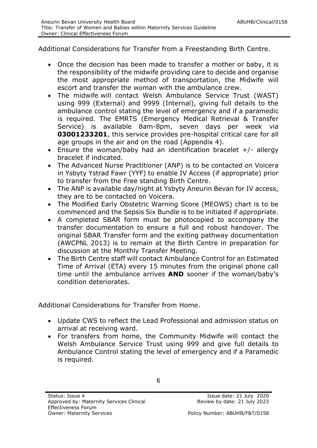Additional Considerations for Transfer from a Freestanding Birth Centre.

- Once the decision has been made to transfer a mother or baby, it is the responsibility of the midwife providing care to decide and organise the most appropriate method of transportation, the Midwife will escort and transfer the woman with the ambulance crew.
- The midwife will contact Welsh Ambulance Service Trust (WAST) using 999 (External) and 9999 (Internal), giving full details to the ambulance control stating the level of emergency and if a paramedic is required. The EMRTS (Emergency Medical Retrieval & Transfer Service) is available 8am-8pm, seven days per week via **03001233201**, this service provides pre-hospital critical care for all age groups in the air and on the road (Appendix 4).
- Ensure the woman/baby had an identification bracelet  $+/-$  allergy bracelet if indicated.
- The Advanced Nurse Practitioner (ANP) is to be contacted on Voicera in Ysbyty Ystrad Fawr (YYF) to enable IV Access (if appropriate) prior to transfer from the Free standing Birth Centre.
- The ANP is available day/night at Ysbyty Aneurin Bevan for IV access, they are to be contacted on Voicera.
- The Modified Early Obstetric Warning Score (MEOWS) chart is to be commenced and the Sepsis Six Bundle is to be initiated if appropriate.
- A completed SBAR form must be photocopied to accompany the transfer documentation to ensure a full and robust handover. The original SBAR Transfer form and the exiting pathway documentation (AWCPNL 2013) is to remain at the Birth Centre in preparation for discussion at the Monthly Transfer Meeting.
- The Birth Centre staff will contact Ambulance Control for an Estimated Time of Arrival (ETA) every 15 minutes from the original phone call time until the ambulance arrives **AND** sooner if the woman/baby's condition deteriorates.

Additional Considerations for Transfer from Home.

- Update CWS to reflect the Lead Professional and admission status on arrival at receiving ward.
- For transfers from home, the Community Midwife will contact the Welsh Ambulance Service Trust using 999 and give full details to Ambulance Control stating the level of emergency and if a Paramedic is required.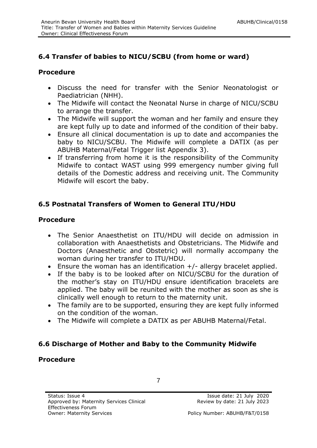# **6.4 Transfer of babies to NICU/SCBU (from home or ward)**

#### **Procedure**

- Discuss the need for transfer with the Senior Neonatologist or Paediatrician (NHH).
- The Midwife will contact the Neonatal Nurse in charge of NICU/SCBU to arrange the transfer.
- The Midwife will support the woman and her family and ensure they are kept fully up to date and informed of the condition of their baby.
- Ensure all clinical documentation is up to date and accompanies the baby to NICU/SCBU. The Midwife will complete a DATIX (as per ABUHB Maternal/Fetal Trigger list Appendix 3).
- If transferring from home it is the responsibility of the Community Midwife to contact WAST using 999 emergency number giving full details of the Domestic address and receiving unit. The Community Midwife will escort the baby.

#### **6.5 Postnatal Transfers of Women to General ITU/HDU**

#### **Procedure**

- The Senior Anaesthetist on ITU/HDU will decide on admission in collaboration with Anaesthetists and Obstetricians. The Midwife and Doctors (Anaesthetic and Obstetric) will normally accompany the woman during her transfer to ITU/HDU.
- Ensure the woman has an identification  $+/$  allergy bracelet applied.
- If the baby is to be looked after on NICU/SCBU for the duration of the mother's stay on ITU/HDU ensure identification bracelets are applied. The baby will be reunited with the mother as soon as she is clinically well enough to return to the maternity unit.
- The family are to be supported, ensuring they are kept fully informed on the condition of the woman.
- The Midwife will complete a DATIX as per ABUHB Maternal/Fetal.

7

#### **6.6 Discharge of Mother and Baby to the Community Midwife**

#### **Procedure**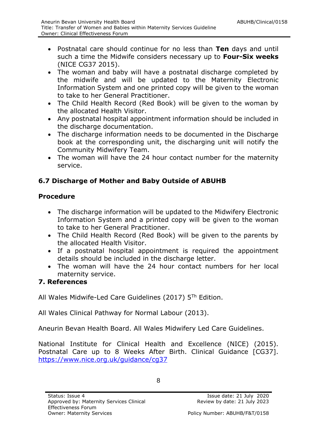- Postnatal care should continue for no less than **Ten** days and until such a time the Midwife considers necessary up to **Four-Six weeks** (NICE CG37 2015).
- The woman and baby will have a postnatal discharge completed by the midwife and will be updated to the Maternity Electronic Information System and one printed copy will be given to the woman to take to her General Practitioner.
- The Child Health Record (Red Book) will be given to the woman by the allocated Health Visitor.
- Any postnatal hospital appointment information should be included in the discharge documentation.
- The discharge information needs to be documented in the Discharge book at the corresponding unit, the discharging unit will notify the Community Midwifery Team.
- The woman will have the 24 hour contact number for the maternity service.

# **6.7 Discharge of Mother and Baby Outside of ABUHB**

## **Procedure**

- The discharge information will be updated to the Midwifery Electronic Information System and a printed copy will be given to the woman to take to her General Practitioner.
- The Child Health Record (Red Book) will be given to the parents by the allocated Health Visitor.
- If a postnatal hospital appointment is required the appointment details should be included in the discharge letter.
- The woman will have the 24 hour contact numbers for her local maternity service.

#### **7. References**

All Wales Midwife-Led Care Guidelines (2017) 5Th Edition.

All Wales Clinical Pathway for Normal Labour (2013).

Aneurin Bevan Health Board. All Wales Midwifery Led Care Guidelines.

National Institute for Clinical Health and Excellence (NICE) (2015). Postnatal Care up to 8 Weeks After Birth. Clinical Guidance [CG37]. [https://www.nice.org.uk/guidance/cg37](https://www.nice.org.uk/guidance/cg37%20accessed%2020.05.2020)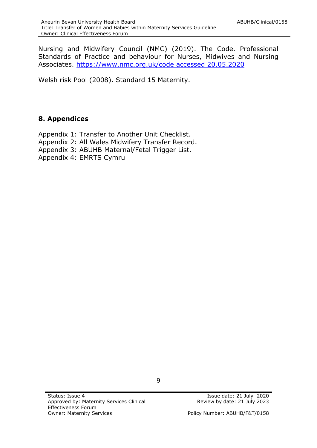Nursing and Midwifery Council (NMC) (2019). The Code. Professional Standards of Practice and behaviour for Nurses, Midwives and Nursing Associates. [https://www.nmc.org.uk/code accessed 20.05.2020](https://www.nmc.org.uk/code%20accessed%2020.05.2020)

Welsh risk Pool (2008). Standard 15 Maternity.

#### **8. Appendices**

Appendix 1: Transfer to Another Unit Checklist. Appendix 2: All Wales Midwifery Transfer Record. Appendix 3: ABUHB Maternal/Fetal Trigger List. Appendix 4: EMRTS Cymru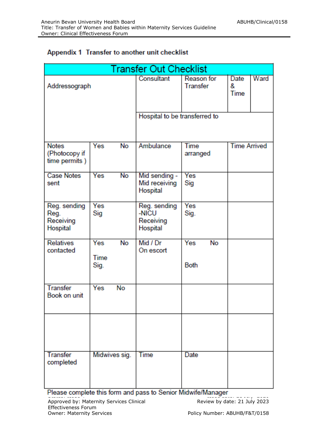#### Appendix 1 Transfer to another unit checklist

| <b>Transfer Out Checklist</b>                  |                     |               |                                                |                               |                     |      |  |  |  |  |
|------------------------------------------------|---------------------|---------------|------------------------------------------------|-------------------------------|---------------------|------|--|--|--|--|
| Addressograph                                  |                     |               | Consultant                                     | Reason for<br><b>Transfer</b> | Date<br>&<br>Time   | Ward |  |  |  |  |
|                                                |                     |               | Hospital to be transferred to                  |                               |                     |      |  |  |  |  |
| <b>Notes</b><br>(Photocopy if<br>time permits) | Yes                 | No            | Ambulance                                      | Time<br>arranged              | <b>Time Arrived</b> |      |  |  |  |  |
| <b>Case Notes</b><br>sent                      | Yes                 | <b>No</b>     | Mid sending -<br>Mid receiving<br>Hospital     | Yes<br>Sig                    |                     |      |  |  |  |  |
| Reg. sending<br>Reg.<br>Receiving<br>Hospital  | Yes<br>Sig          |               | Reg. sending<br>-NICU<br>Receiving<br>Hospital | Yes<br>Sig.                   |                     |      |  |  |  |  |
| <b>Relatives</b><br>contacted                  | Yes<br>Time<br>Sig. | No            | Mid / Dr<br>On escort                          | Yes<br>No<br><b>Both</b>      |                     |      |  |  |  |  |
| Transfer<br>Book on unit                       | Yes                 | No            |                                                |                               |                     |      |  |  |  |  |
| <b>Transfer</b><br>completed                   |                     | Midwives sig. | Time                                           | Date                          |                     |      |  |  |  |  |

Please complete this form and pass to Senior Midwife/Manager

Approved by: Maternity Services Clinical Effectiveness Forum Owner: Maternity Services extending the Maternity Services of the Maternal Policy Number: ABUHB/F&T/0158

Review by date: 21 July 2023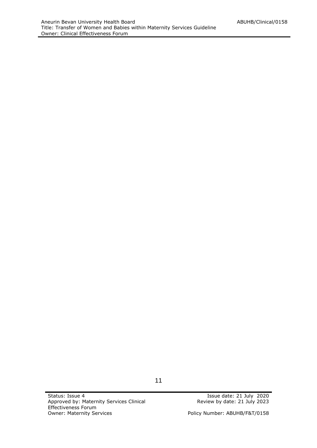Status: Issue 4 Issue date: 21 July 2020 Approved by: Maternity Services Clinical Effectiveness Forum Owner: Maternity Services extending the Maternity Services of the Maternal Policy Number: ABUHB/F&T/0158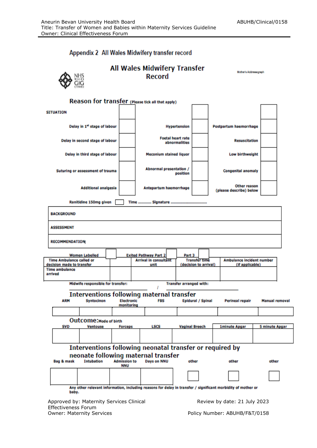# Appendix 2 All Wales Midwifery transfer record

|                                                                                                                                                                                                           | All Wales Midwifery Transfer<br>Mother's Addressograph<br>Record |                                           |                                               |       |                                                     |                |  |  |  |  |
|-----------------------------------------------------------------------------------------------------------------------------------------------------------------------------------------------------------|------------------------------------------------------------------|-------------------------------------------|-----------------------------------------------|-------|-----------------------------------------------------|----------------|--|--|--|--|
| Reason for transfer (Please tick all that apply)                                                                                                                                                          |                                                                  |                                           |                                               |       |                                                     |                |  |  |  |  |
| <b>SITUATION</b>                                                                                                                                                                                          |                                                                  |                                           |                                               |       |                                                     |                |  |  |  |  |
| Delay in 1st stage of labour                                                                                                                                                                              |                                                                  | <b>Hypertension</b>                       |                                               |       | <b>Postpartum haemorrhage</b>                       |                |  |  |  |  |
| Delay in second stage of labour                                                                                                                                                                           |                                                                  | <b>Foetal heart rate</b><br>abnormalities |                                               |       | <b>Resuscitation</b>                                |                |  |  |  |  |
| Delay in third stage of labour                                                                                                                                                                            |                                                                  | <b>Meconium stained liquor</b>            |                                               |       | Low birthweight                                     |                |  |  |  |  |
| Suturing or assessment of trauma                                                                                                                                                                          |                                                                  | Abnormal presentation /<br>position       |                                               |       | <b>Congenital anomaly</b>                           |                |  |  |  |  |
| <b>Additional analgesia</b>                                                                                                                                                                               |                                                                  | Antepartum haemorrhage                    |                                               |       | Other reason<br>(please describe) below             |                |  |  |  |  |
| Ranitidine 150mg given                                                                                                                                                                                    |                                                                  |                                           |                                               |       |                                                     |                |  |  |  |  |
| <b>BACKGROUND</b>                                                                                                                                                                                         |                                                                  |                                           |                                               |       |                                                     |                |  |  |  |  |
| <b>ASSESSMENT</b>                                                                                                                                                                                         |                                                                  |                                           |                                               |       |                                                     |                |  |  |  |  |
| <b>RECOMMENDATION</b>                                                                                                                                                                                     |                                                                  |                                           |                                               |       |                                                     |                |  |  |  |  |
| <b>Women Labelled</b>                                                                                                                                                                                     |                                                                  | <b>Exited Pathway Part 2</b>              | Part 3                                        |       |                                                     |                |  |  |  |  |
| <b>Time Ambulance called or</b><br>decision made to transfer                                                                                                                                              |                                                                  | <b>Arrival in consultant</b><br>unit      | <b>Transfer time</b><br>(decision to arrival) |       | <b>Ambulance incident number</b><br>(if applicable) |                |  |  |  |  |
| <b>Time ambulance</b><br>arrived                                                                                                                                                                          |                                                                  |                                           |                                               |       |                                                     |                |  |  |  |  |
| Midwife responsible for transfer:                                                                                                                                                                         |                                                                  |                                           | <b>Transfer arranged with:</b>                |       |                                                     |                |  |  |  |  |
| <b>Interventions following maternal transfer</b><br><b>ARM</b><br><b>Syntocinon Electronic</b><br><b>FBS</b><br><b>Epidural / Spinal</b><br><b>Perineal repair</b><br><b>Manual removal</b><br>monitoring |                                                                  |                                           |                                               |       |                                                     |                |  |  |  |  |
|                                                                                                                                                                                                           |                                                                  |                                           |                                               |       |                                                     |                |  |  |  |  |
| Outcome: Mode of birth                                                                                                                                                                                    |                                                                  |                                           |                                               |       |                                                     |                |  |  |  |  |
| SVD<br><b>Ventouse</b>                                                                                                                                                                                    | Forceps                                                          | LSCS                                      | <b>Vaginal Breech</b>                         |       | <b>1minute Apgar</b>                                | 5 minute Apgar |  |  |  |  |
| Interventions following neonatal transfer or required by                                                                                                                                                  |                                                                  |                                           |                                               |       |                                                     |                |  |  |  |  |
| neonate following maternal transfer<br><b>Intubation</b><br><b>Bag &amp; mask</b>                                                                                                                         | <b>Admission to</b>                                              | Days on NNU                               |                                               | other | other                                               | other          |  |  |  |  |
|                                                                                                                                                                                                           | <b>NNU</b>                                                       |                                           |                                               |       |                                                     |                |  |  |  |  |
| Any other relevant information, including reasons for delay in transfer / significant morbidity of mother or                                                                                              |                                                                  |                                           |                                               |       |                                                     |                |  |  |  |  |
| baby.                                                                                                                                                                                                     |                                                                  |                                           |                                               |       |                                                     |                |  |  |  |  |
| Approved by: Maternity Services Clinical<br><b>Effectiveness Forum</b>                                                                                                                                    |                                                                  |                                           |                                               |       | Review by date: 21 July 2023                        |                |  |  |  |  |

Owner: Maternity Services extending the Maternity Services of the Maternal Policy Number: ABUHB/F&T/0158